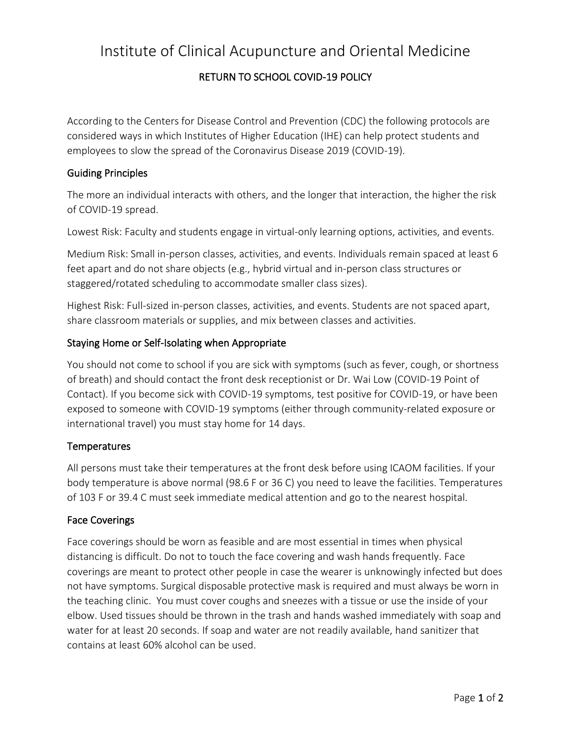# Institute of Clinical Acupuncture and Oriental Medicine

# RETURN TO SCHOOL COVID-19 POLICY

According to the Centers for Disease Control and Prevention (CDC) the following protocols are considered ways in which Institutes of Higher Education (IHE) can help protect students and employees to slow the spread of the Coronavirus Disease 2019 (COVID-19).

## Guiding Principles

The more an individual interacts with others, and the longer that interaction, the higher the risk of COVID-19 spread.

Lowest Risk: Faculty and students engage in virtual-only learning options, activities, and events.

Medium Risk: Small in-person classes, activities, and events. Individuals remain spaced at least 6 feet apart and do not share objects (e.g., hybrid virtual and in-person class structures or staggered/rotated scheduling to accommodate smaller class sizes).

Highest Risk: Full-sized in-person classes, activities, and events. Students are not spaced apart, share classroom materials or supplies, and mix between classes and activities.

## Staying Home or Self-Isolating when Appropriate

You should not come to school if you are sick with symptoms (such as fever, cough, or shortness of breath) and should contact the front desk receptionist or Dr. Wai Low (COVID-19 Point of Contact). If you become sick with COVID-19 symptoms, test positive for COVID-19, or have been exposed to someone with COVID-19 symptoms (either through community-related exposure or international travel) you must stay home for 14 days.

#### **Temperatures**

All persons must take their temperatures at the front desk before using ICAOM facilities. If your body temperature is above normal (98.6 F or 36 C) you need to leave the facilities. Temperatures of 103 F or 39.4 C must seek immediate medical attention and go to the nearest hospital.

#### Face Coverings

Face coverings should be worn as feasible and are most essential in times when physical distancing is difficult. Do not to touch the face covering and wash hands frequently. Face coverings are meant to protect other people in case the wearer is unknowingly infected but does not have symptoms. Surgical disposable protective mask is required and must always be worn in the teaching clinic. You must cover coughs and sneezes with a tissue or use the inside of your elbow. Used tissues should be thrown in the trash and hands washed immediately with soap and water for at least 20 seconds. If soap and water are not readily available, hand sanitizer that contains at least 60% alcohol can be used.